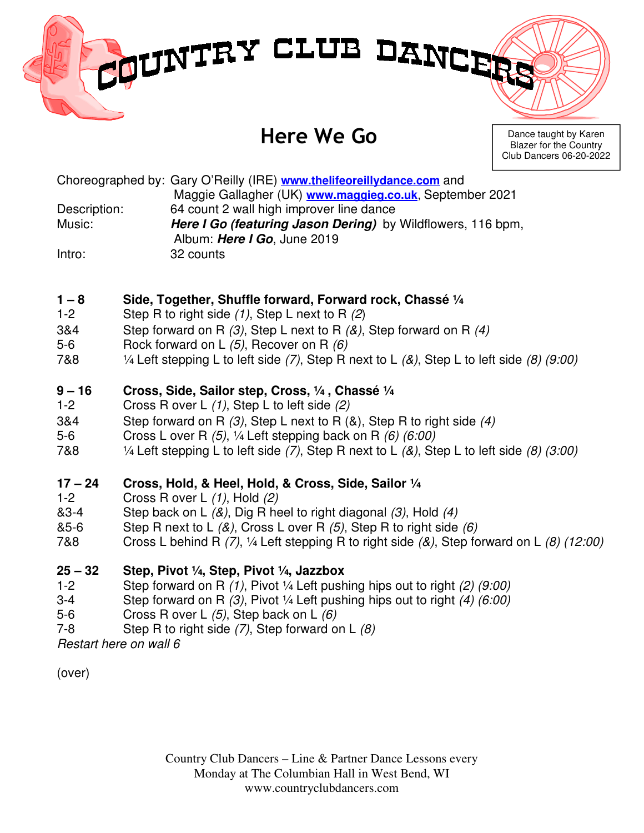# MUNTRY CLUB DANCER

# Here We Go

Dance taught by Karen Blazer for the Country Club Dancers 06-20-2022

Choreographed by: Gary O'Reilly (IRE) **www.thelifeoreillydance.com** and Maggie Gallagher (UK) **www.maggieg.co.uk**, September 2021 Description: 64 count 2 wall high improver line dance Music: **Here I Go (featuring Jason Dering)** by Wildflowers, 116 bpm, Album: **Here I Go**, June 2019 Intro: 32 counts

## **1 – 8 Side, Together, Shuffle forward, Forward rock, Chassé ¼**

- 1-2 Step R to right side  $(1)$ , Step L next to R  $(2)$
- 3&4 Step forward on R  $(3)$ , Step L next to R  $(8)$ , Step forward on R  $(4)$
- 5-6 Rock forward on L (5), Recover on R (6)
- 7&8  $\frac{1}{4}$  Left stepping L to left side (7), Step R next to L ( $\&$ ), Step L to left side (8) (9:00)

#### **9 – 16 Cross, Side, Sailor step, Cross, ¼ , Chassé ¼**

- 1-2 Cross R over L (1), Step L to left side (2)
- 3&4 Step forward on R (3), Step L next to R (&), Step R to right side (4)
- 5-6 Cross L over R (5), ¼ Left stepping back on R (6) (6:00)
- 7&8  $\frac{1}{4}$  Left stepping L to left side (7), Step R next to L (&), Step L to left side (8) (3:00)

## **17 – 24 Cross, Hold, & Heel, Hold, & Cross, Side, Sailor ¼**

- 1-2 Cross R over L (1), Hold (2)
- $&3-4$  Step back on L  $&8$ ), Dig R heel to right diagonal  $&3$ , Hold  $&4$ )
- &5-6 Step R next to L  $(8)$ , Cross L over R  $(5)$ , Step R to right side  $(6)$
- 7&8 Cross L behind R  $(7)$ , 1/4 Left stepping R to right side  $(8)$ , Step forward on L  $(8)$  (12:00)

#### **25 – 32 Step, Pivot ¼, Step, Pivot ¼, Jazzbox**

- 1-2 Step forward on R (1), Pivot ¼ Left pushing hips out to right (2) (9:00)
- 3-4 Step forward on R  $(3)$ , Pivot  $\frac{1}{4}$  Left pushing hips out to right  $(4)$   $(6.00)$
- 5-6 Cross R over L (5), Step back on L (6)
- 7-8 Step R to right side  $(7)$ , Step forward on L  $(8)$

Restart here on wall 6

(over)